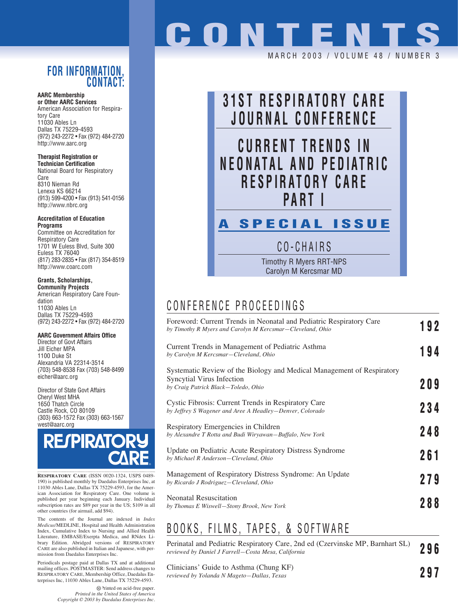### **FOR INFORMATION, CONTACT:**

#### **AARC Membership**

**or Other AARC Services** American Association for Respiratory Care 11030 Ables Ln Dallas TX 75229-4593 (972) 243-2272 • Fax (972) 484-2720 http://www.aarc.org

**Therapist Registration or** 

**Technician Certification** National Board for Respiratory Care 8310 Nieman Rd Lenexa KS 66214 (913) 599-4200 • Fax (913) 541-0156 http://www.nbrc.org

**Accreditation of Education Programs**

Committee on Accreditation for Respiratory Care 1701 W Euless Blvd, Suite 300 Euless TX 76040 (817) 283-2835 • Fax (817) 354-8519 http://www.coarc.com

#### **Grants, Scholarships,**

**Community Projects** American Respiratory Care Foundation 11030 Ables Ln Dallas TX 75229-4593 (972) 243-2272 • Fax (972) 484-2720

#### **AARC Government Affairs Office**

Director of Govt Affairs Jill Eicher MPA 1100 Duke St Alexandria VA 22314-3514 (703) 548-8538 Fax (703) 548-8499 eicher@aarc.org

Director of State Govt Affairs Cheryl West MHA 1650 Thatch Circle Castle Rock, CO 80109 (303) 663-1572 Fax (303) 663-1567 west@aarc.org



**RESPIRATORY CARE** (ISSN 0020-1324, USPS 0489- 190) is published monthly by Daedalus Enterprises Inc, at 11030 Ables Lane, Dallas TX 75229-4593, for the American Association for Respiratory Care. One volume is published per year beginning each January. Individual subscription rates are \$89 per year in the US; \$109 in all other countries (for airmail, add \$94).

The contents of the Journal are indexed in *Index Medicus*/MEDLINE, Hospital and Health Administration Index, Cumulative Index to Nursing and Allied Health Literature, EMBASE/Exerpta Medica, and RNdex Library Edition. Abridged versions of RESPIRATORY CARE are also published in Italian and Japanese, with permission from Daedalus Enterprises Inc.

Periodicals postage paid at Dallas TX and at additional mailing offices. POSTMASTER: Send address changes to RESPIRATORY CARE, Membership Office, Daedalus Enterprises Inc, 11030 Ables Lane, Dallas TX 75229-4593.

> Printed on acid-free paper. *Printed in the United States of America Copyright © 2003 by Daedalus Enterprises Inc.*

# **CONTENT**

MARCH 2003 / VOLUME 48 / NUMBE



CO-CHAIRS

Timothy R Myers RRT-NPS Carolyn M Kercsmar MD

## CONFERENCE PROCEEDINGS

| Foreword: Current Trends in Neonatal and Pediatric Respiratory Care<br>by Timothy R Myers and Carolyn M Kercsmar–Cleveland, Ohio           | 192 |
|--------------------------------------------------------------------------------------------------------------------------------------------|-----|
| Current Trends in Management of Pediatric Asthma<br>by Carolyn M Kercsmar–Cleveland, Ohio                                                  | 194 |
| Systematic Review of the Biology and Medical Management of Respiratory<br>Syncytial Virus Infection<br>by Craig Patrick Black-Toledo, Ohio | 209 |
| Cystic Fibrosis: Current Trends in Respiratory Care<br>by Jeffrey S Wagener and Aree A Headley-Denver, Colorado                            | 234 |
| Respiratory Emergencies in Children<br>by Alexandre T Rotta and Budi Wiryawan-Buffalo, New York                                            | 248 |
| Update on Pediatric Acute Respiratory Distress Syndrome<br>by Michael R Anderson-Cleveland, Ohio                                           | 261 |
| Management of Respiratory Distress Syndrome: An Update<br>by Ricardo J Rodriguez-Cleveland, Ohio                                           | 279 |
| <b>Neonatal Resuscitation</b><br>by Thomas E Wiswell–Stony Brook, New York                                                                 | 288 |
|                                                                                                                                            |     |

## BOOKS, FILMS, TAPES, & SOFTWARE

Perinatal and Pediatric Respiratory Care, 2nd ed (Czervinske MP, Barnhart SL) *reviewed by Daniel J Farrell—Costa Mesa, California* **296**

Clinicians' Guide to Asthma (Chung KF) *reviewed by Yolanda N Mageto—Dallas, Texas* **297**